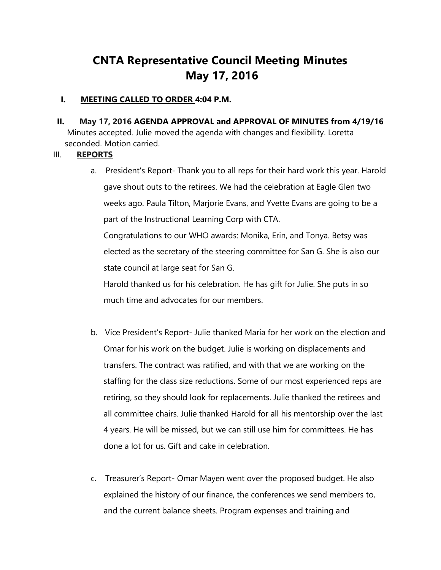# **CNTA Representative Council Meeting Minutes May 17, 2016**

#### **I. MEETING CALLED TO ORDER 4:04 P.M.**

 **II. May 17, 2016 AGENDA APPROVAL and APPROVAL OF MINUTES from 4/19/16**  Minutes accepted. Julie moved the agenda with changes and flexibility. Loretta seconded. Motion carried.

## III. **REPORTS**

a. President's Report- Thank you to all reps for their hard work this year. Harold gave shout outs to the retirees. We had the celebration at Eagle Glen two weeks ago. Paula Tilton, Marjorie Evans, and Yvette Evans are going to be a part of the Instructional Learning Corp with CTA.

Congratulations to our WHO awards: Monika, Erin, and Tonya. Betsy was elected as the secretary of the steering committee for San G. She is also our state council at large seat for San G.

Harold thanked us for his celebration. He has gift for Julie. She puts in so much time and advocates for our members.

- b. Vice President's Report- Julie thanked Maria for her work on the election and Omar for his work on the budget. Julie is working on displacements and transfers. The contract was ratified, and with that we are working on the staffing for the class size reductions. Some of our most experienced reps are retiring, so they should look for replacements. Julie thanked the retirees and all committee chairs. Julie thanked Harold for all his mentorship over the last 4 years. He will be missed, but we can still use him for committees. He has done a lot for us. Gift and cake in celebration.
- c. Treasurer's Report- Omar Mayen went over the proposed budget. He also explained the history of our finance, the conferences we send members to, and the current balance sheets. Program expenses and training and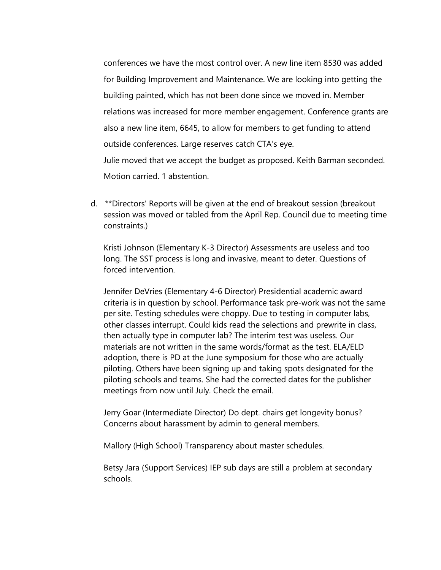conferences we have the most control over. A new line item 8530 was added for Building Improvement and Maintenance. We are looking into getting the building painted, which has not been done since we moved in. Member relations was increased for more member engagement. Conference grants are also a new line item, 6645, to allow for members to get funding to attend outside conferences. Large reserves catch CTA's eye. Julie moved that we accept the budget as proposed. Keith Barman seconded. Motion carried. 1 abstention.

d. \*\*Directors' Reports will be given at the end of breakout session (breakout session was moved or tabled from the April Rep. Council due to meeting time constraints.)

Kristi Johnson (Elementary K-3 Director) Assessments are useless and too long. The SST process is long and invasive, meant to deter. Questions of forced intervention.

Jennifer DeVries (Elementary 4-6 Director) Presidential academic award criteria is in question by school. Performance task pre-work was not the same per site. Testing schedules were choppy. Due to testing in computer labs, other classes interrupt. Could kids read the selections and prewrite in class, then actually type in computer lab? The interim test was useless. Our materials are not written in the same words/format as the test. ELA/ELD adoption, there is PD at the June symposium for those who are actually piloting. Others have been signing up and taking spots designated for the piloting schools and teams. She had the corrected dates for the publisher meetings from now until July. Check the email.

Jerry Goar (Intermediate Director) Do dept. chairs get longevity bonus? Concerns about harassment by admin to general members.

Mallory (High School) Transparency about master schedules.

Betsy Jara (Support Services) IEP sub days are still a problem at secondary schools.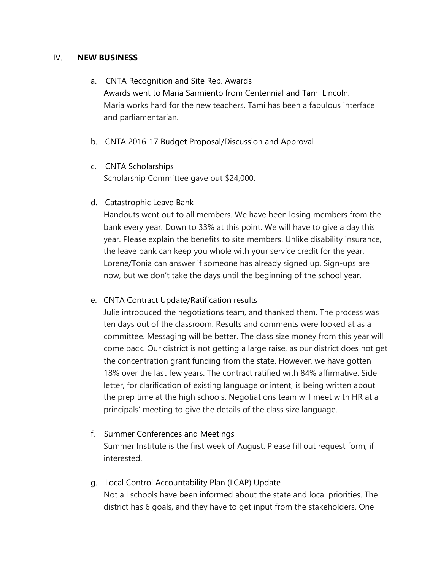### IV. **NEW BUSINESS**

- a. CNTA Recognition and Site Rep. Awards Awards went to Maria Sarmiento from Centennial and Tami Lincoln. Maria works hard for the new teachers. Tami has been a fabulous interface and parliamentarian.
- b. CNTA 2016-17 Budget Proposal/Discussion and Approval
- c. CNTA Scholarships Scholarship Committee gave out \$24,000.
- d. Catastrophic Leave Bank

Handouts went out to all members. We have been losing members from the bank every year. Down to 33% at this point. We will have to give a day this year. Please explain the benefits to site members. Unlike disability insurance, the leave bank can keep you whole with your service credit for the year. Lorene/Tonia can answer if someone has already signed up. Sign-ups are now, but we don't take the days until the beginning of the school year.

e. CNTA Contract Update/Ratification results

Julie introduced the negotiations team, and thanked them. The process was ten days out of the classroom. Results and comments were looked at as a committee. Messaging will be better. The class size money from this year will come back. Our district is not getting a large raise, as our district does not get the concentration grant funding from the state. However, we have gotten 18% over the last few years. The contract ratified with 84% affirmative. Side letter, for clarification of existing language or intent, is being written about the prep time at the high schools. Negotiations team will meet with HR at a principals' meeting to give the details of the class size language.

- f. Summer Conferences and Meetings Summer Institute is the first week of August. Please fill out request form, if interested.
- g. Local Control Accountability Plan (LCAP) Update Not all schools have been informed about the state and local priorities. The district has 6 goals, and they have to get input from the stakeholders. One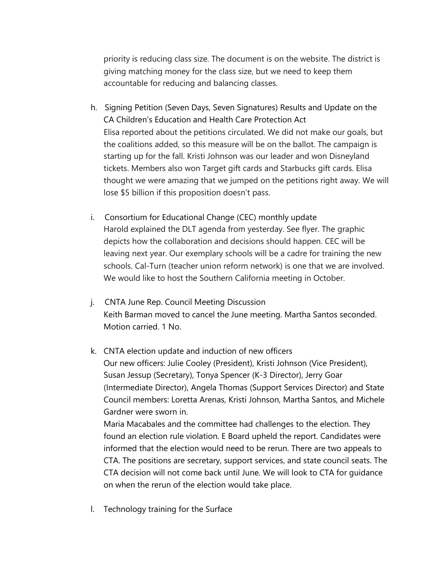priority is reducing class size. The document is on the website. The district is giving matching money for the class size, but we need to keep them accountable for reducing and balancing classes.

- h. Signing Petition (Seven Days, Seven Signatures) Results and Update on the CA Children's Education and Health Care Protection Act Elisa reported about the petitions circulated. We did not make our goals, but the coalitions added, so this measure will be on the ballot. The campaign is starting up for the fall. Kristi Johnson was our leader and won Disneyland tickets. Members also won Target gift cards and Starbucks gift cards. Elisa thought we were amazing that we jumped on the petitions right away. We will lose \$5 billion if this proposition doesn't pass.
- i. Consortium for Educational Change (CEC) monthly update Harold explained the DLT agenda from yesterday. See flyer. The graphic depicts how the collaboration and decisions should happen. CEC will be leaving next year. Our exemplary schools will be a cadre for training the new schools. Cal-Turn (teacher union reform network) is one that we are involved. We would like to host the Southern California meeting in October.
- j. CNTA June Rep. Council Meeting Discussion Keith Barman moved to cancel the June meeting. Martha Santos seconded. Motion carried. 1 No.
- k. CNTA election update and induction of new officers Our new officers: Julie Cooley (President), Kristi Johnson (Vice President), Susan Jessup (Secretary), Tonya Spencer (K-3 Director), Jerry Goar (Intermediate Director), Angela Thomas (Support Services Director) and State Council members: Loretta Arenas, Kristi Johnson, Martha Santos, and Michele Gardner were sworn in.

Maria Macabales and the committee had challenges to the election. They found an election rule violation. E Board upheld the report. Candidates were informed that the election would need to be rerun. There are two appeals to CTA. The positions are secretary, support services, and state council seats. The CTA decision will not come back until June. We will look to CTA for guidance on when the rerun of the election would take place.

l. Technology training for the Surface